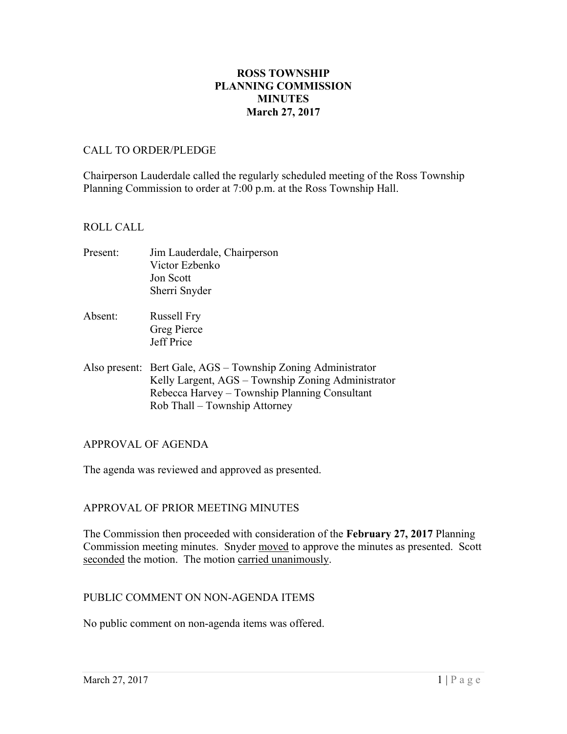### **ROSS TOWNSHIP PLANNING COMMISSION MINUTES March 27, 2017**

#### CALL TO ORDER/PLEDGE

Chairperson Lauderdale called the regularly scheduled meeting of the Ross Township Planning Commission to order at 7:00 p.m. at the Ross Township Hall.

#### ROLL CALL

- Present: Jim Lauderdale, Chairperson Victor Ezbenko Jon Scott Sherri Snyder
- Absent: Russell Fry Greg Pierce Jeff Price
- Also present: Bert Gale, AGS Township Zoning Administrator Kelly Largent, AGS – Township Zoning Administrator Rebecca Harvey – Township Planning Consultant Rob Thall – Township Attorney

### APPROVAL OF AGENDA

The agenda was reviewed and approved as presented.

### APPROVAL OF PRIOR MEETING MINUTES

The Commission then proceeded with consideration of the **February 27, 2017** Planning Commission meeting minutes. Snyder moved to approve the minutes as presented. Scott seconded the motion. The motion carried unanimously.

### PUBLIC COMMENT ON NON-AGENDA ITEMS

No public comment on non-agenda items was offered.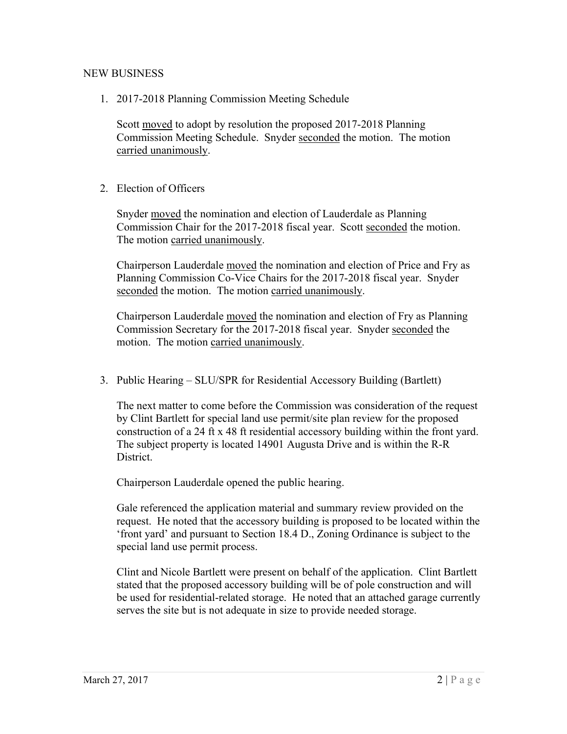### NEW BUSINESS

1. 2017-2018 Planning Commission Meeting Schedule

Scott moved to adopt by resolution the proposed 2017-2018 Planning Commission Meeting Schedule. Snyder seconded the motion. The motion carried unanimously.

2. Election of Officers

Snyder moved the nomination and election of Lauderdale as Planning Commission Chair for the 2017-2018 fiscal year. Scott seconded the motion. The motion carried unanimously.

Chairperson Lauderdale moved the nomination and election of Price and Fry as Planning Commission Co-Vice Chairs for the 2017-2018 fiscal year. Snyder seconded the motion. The motion carried unanimously.

Chairperson Lauderdale moved the nomination and election of Fry as Planning Commission Secretary for the 2017-2018 fiscal year. Snyder seconded the motion. The motion carried unanimously.

3. Public Hearing – SLU/SPR for Residential Accessory Building (Bartlett)

The next matter to come before the Commission was consideration of the request by Clint Bartlett for special land use permit/site plan review for the proposed construction of a 24 ft x 48 ft residential accessory building within the front yard. The subject property is located 14901 Augusta Drive and is within the R-R District.

Chairperson Lauderdale opened the public hearing.

Gale referenced the application material and summary review provided on the request. He noted that the accessory building is proposed to be located within the 'front yard' and pursuant to Section 18.4 D., Zoning Ordinance is subject to the special land use permit process.

Clint and Nicole Bartlett were present on behalf of the application. Clint Bartlett stated that the proposed accessory building will be of pole construction and will be used for residential-related storage. He noted that an attached garage currently serves the site but is not adequate in size to provide needed storage.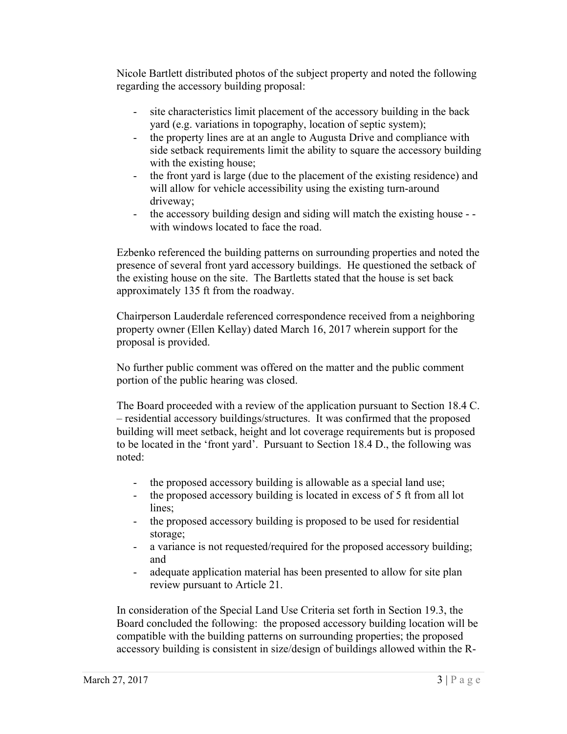Nicole Bartlett distributed photos of the subject property and noted the following regarding the accessory building proposal:

- site characteristics limit placement of the accessory building in the back yard (e.g. variations in topography, location of septic system);
- the property lines are at an angle to Augusta Drive and compliance with side setback requirements limit the ability to square the accessory building with the existing house;
- the front yard is large (due to the placement of the existing residence) and will allow for vehicle accessibility using the existing turn-around driveway;
- the accessory building design and siding will match the existing house with windows located to face the road.

Ezbenko referenced the building patterns on surrounding properties and noted the presence of several front yard accessory buildings. He questioned the setback of the existing house on the site. The Bartletts stated that the house is set back approximately 135 ft from the roadway.

Chairperson Lauderdale referenced correspondence received from a neighboring property owner (Ellen Kellay) dated March 16, 2017 wherein support for the proposal is provided.

No further public comment was offered on the matter and the public comment portion of the public hearing was closed.

The Board proceeded with a review of the application pursuant to Section 18.4 C. – residential accessory buildings/structures. It was confirmed that the proposed building will meet setback, height and lot coverage requirements but is proposed to be located in the 'front yard'. Pursuant to Section 18.4 D., the following was noted:

- the proposed accessory building is allowable as a special land use;
- the proposed accessory building is located in excess of 5 ft from all lot lines:
- the proposed accessory building is proposed to be used for residential storage;
- a variance is not requested/required for the proposed accessory building; and
- adequate application material has been presented to allow for site plan review pursuant to Article 21.

In consideration of the Special Land Use Criteria set forth in Section 19.3, the Board concluded the following: the proposed accessory building location will be compatible with the building patterns on surrounding properties; the proposed accessory building is consistent in size/design of buildings allowed within the R-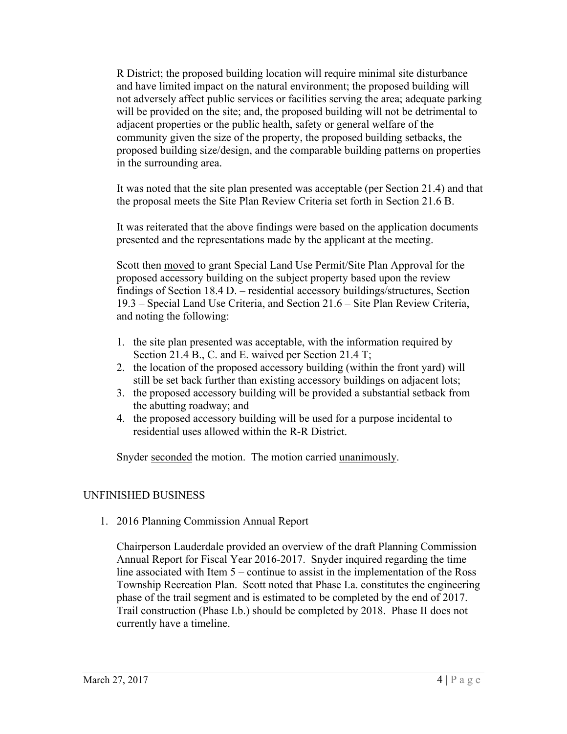R District; the proposed building location will require minimal site disturbance and have limited impact on the natural environment; the proposed building will not adversely affect public services or facilities serving the area; adequate parking will be provided on the site; and, the proposed building will not be detrimental to adjacent properties or the public health, safety or general welfare of the community given the size of the property, the proposed building setbacks, the proposed building size/design, and the comparable building patterns on properties in the surrounding area.

It was noted that the site plan presented was acceptable (per Section 21.4) and that the proposal meets the Site Plan Review Criteria set forth in Section 21.6 B.

It was reiterated that the above findings were based on the application documents presented and the representations made by the applicant at the meeting.

Scott then moved to grant Special Land Use Permit/Site Plan Approval for the proposed accessory building on the subject property based upon the review findings of Section 18.4 D. – residential accessory buildings/structures, Section 19.3 – Special Land Use Criteria, and Section 21.6 – Site Plan Review Criteria, and noting the following:

- 1. the site plan presented was acceptable, with the information required by Section 21.4 B., C. and E. waived per Section 21.4 T;
- 2. the location of the proposed accessory building (within the front yard) will still be set back further than existing accessory buildings on adjacent lots;
- 3. the proposed accessory building will be provided a substantial setback from the abutting roadway; and
- 4. the proposed accessory building will be used for a purpose incidental to residential uses allowed within the R-R District.

Snyder seconded the motion. The motion carried unanimously.

# UNFINISHED BUSINESS

1. 2016 Planning Commission Annual Report

Chairperson Lauderdale provided an overview of the draft Planning Commission Annual Report for Fiscal Year 2016-2017. Snyder inquired regarding the time line associated with Item 5 – continue to assist in the implementation of the Ross Township Recreation Plan. Scott noted that Phase I.a. constitutes the engineering phase of the trail segment and is estimated to be completed by the end of 2017. Trail construction (Phase I.b.) should be completed by 2018. Phase II does not currently have a timeline.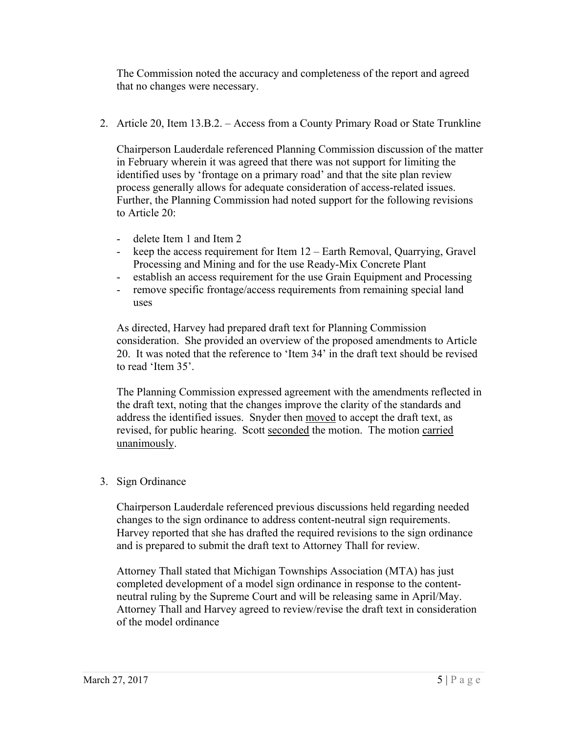The Commission noted the accuracy and completeness of the report and agreed that no changes were necessary.

2. Article 20, Item 13.B.2. – Access from a County Primary Road or State Trunkline

Chairperson Lauderdale referenced Planning Commission discussion of the matter in February wherein it was agreed that there was not support for limiting the identified uses by 'frontage on a primary road' and that the site plan review process generally allows for adequate consideration of access-related issues. Further, the Planning Commission had noted support for the following revisions to Article 20:

- delete Item 1 and Item 2
- keep the access requirement for Item 12 Earth Removal, Quarrying, Gravel Processing and Mining and for the use Ready-Mix Concrete Plant
- establish an access requirement for the use Grain Equipment and Processing
- remove specific frontage/access requirements from remaining special land uses

As directed, Harvey had prepared draft text for Planning Commission consideration. She provided an overview of the proposed amendments to Article 20. It was noted that the reference to 'Item 34' in the draft text should be revised to read 'Item 35'.

The Planning Commission expressed agreement with the amendments reflected in the draft text, noting that the changes improve the clarity of the standards and address the identified issues. Snyder then moved to accept the draft text, as revised, for public hearing. Scott seconded the motion. The motion carried unanimously.

# 3. Sign Ordinance

Chairperson Lauderdale referenced previous discussions held regarding needed changes to the sign ordinance to address content-neutral sign requirements. Harvey reported that she has drafted the required revisions to the sign ordinance and is prepared to submit the draft text to Attorney Thall for review.

Attorney Thall stated that Michigan Townships Association (MTA) has just completed development of a model sign ordinance in response to the contentneutral ruling by the Supreme Court and will be releasing same in April/May. Attorney Thall and Harvey agreed to review/revise the draft text in consideration of the model ordinance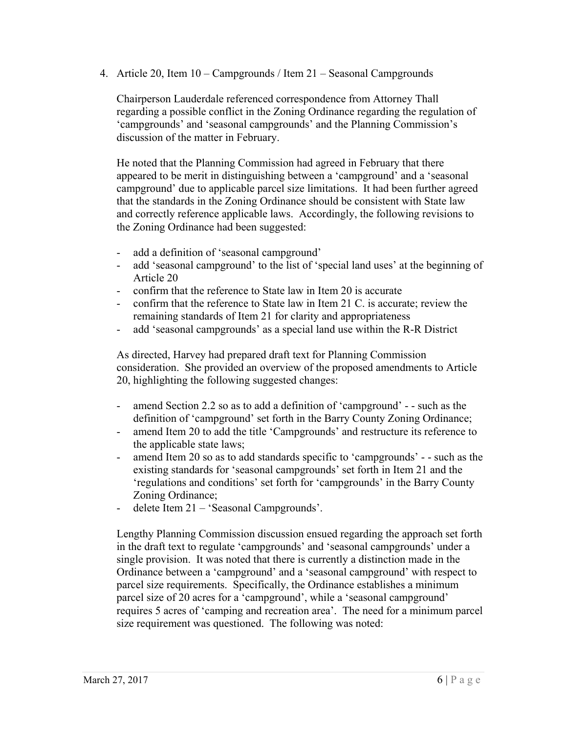4. Article 20, Item 10 – Campgrounds / Item 21 – Seasonal Campgrounds

Chairperson Lauderdale referenced correspondence from Attorney Thall regarding a possible conflict in the Zoning Ordinance regarding the regulation of 'campgrounds' and 'seasonal campgrounds' and the Planning Commission's discussion of the matter in February.

He noted that the Planning Commission had agreed in February that there appeared to be merit in distinguishing between a 'campground' and a 'seasonal campground' due to applicable parcel size limitations. It had been further agreed that the standards in the Zoning Ordinance should be consistent with State law and correctly reference applicable laws. Accordingly, the following revisions to the Zoning Ordinance had been suggested:

- add a definition of 'seasonal campground'
- add 'seasonal campground' to the list of 'special land uses' at the beginning of Article 20
- confirm that the reference to State law in Item 20 is accurate
- confirm that the reference to State law in Item 21 C. is accurate; review the remaining standards of Item 21 for clarity and appropriateness
- add 'seasonal campgrounds' as a special land use within the R-R District

As directed, Harvey had prepared draft text for Planning Commission consideration. She provided an overview of the proposed amendments to Article 20, highlighting the following suggested changes:

- amend Section 2.2 so as to add a definition of 'campground' - such as the definition of 'campground' set forth in the Barry County Zoning Ordinance;
- amend Item 20 to add the title 'Campgrounds' and restructure its reference to the applicable state laws;
- amend Item 20 so as to add standards specific to 'campgrounds' - such as the existing standards for 'seasonal campgrounds' set forth in Item 21 and the 'regulations and conditions' set forth for 'campgrounds' in the Barry County Zoning Ordinance;
- delete Item 21 'Seasonal Campgrounds'.

Lengthy Planning Commission discussion ensued regarding the approach set forth in the draft text to regulate 'campgrounds' and 'seasonal campgrounds' under a single provision. It was noted that there is currently a distinction made in the Ordinance between a 'campground' and a 'seasonal campground' with respect to parcel size requirements. Specifically, the Ordinance establishes a minimum parcel size of 20 acres for a 'campground', while a 'seasonal campground' requires 5 acres of 'camping and recreation area'. The need for a minimum parcel size requirement was questioned. The following was noted: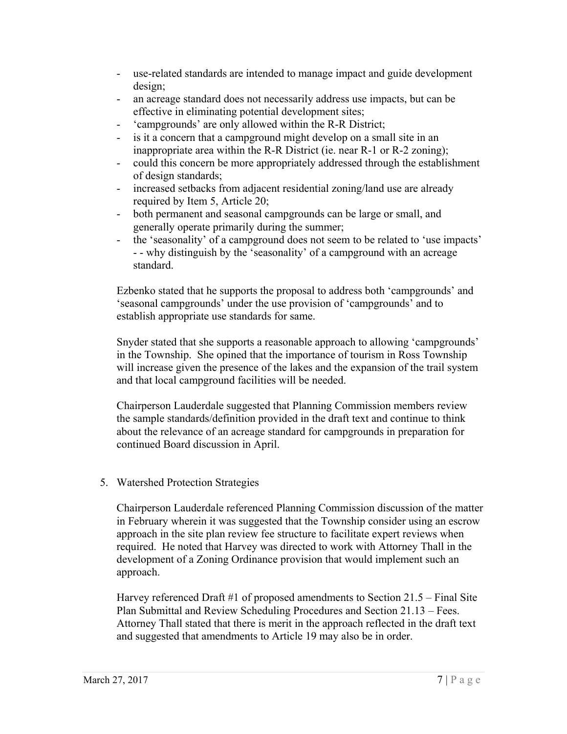- use-related standards are intended to manage impact and guide development design;
- an acreage standard does not necessarily address use impacts, but can be effective in eliminating potential development sites;
- 'campgrounds' are only allowed within the R-R District;
- is it a concern that a campground might develop on a small site in an inappropriate area within the R-R District (ie. near R-1 or R-2 zoning);
- could this concern be more appropriately addressed through the establishment of design standards;
- increased setbacks from adjacent residential zoning/land use are already required by Item 5, Article 20;
- both permanent and seasonal campgrounds can be large or small, and generally operate primarily during the summer;
- the 'seasonality' of a campground does not seem to be related to 'use impacts' - - why distinguish by the 'seasonality' of a campground with an acreage standard.

Ezbenko stated that he supports the proposal to address both 'campgrounds' and 'seasonal campgrounds' under the use provision of 'campgrounds' and to establish appropriate use standards for same.

Snyder stated that she supports a reasonable approach to allowing 'campgrounds' in the Township. She opined that the importance of tourism in Ross Township will increase given the presence of the lakes and the expansion of the trail system and that local campground facilities will be needed.

Chairperson Lauderdale suggested that Planning Commission members review the sample standards/definition provided in the draft text and continue to think about the relevance of an acreage standard for campgrounds in preparation for continued Board discussion in April.

### 5. Watershed Protection Strategies

Chairperson Lauderdale referenced Planning Commission discussion of the matter in February wherein it was suggested that the Township consider using an escrow approach in the site plan review fee structure to facilitate expert reviews when required. He noted that Harvey was directed to work with Attorney Thall in the development of a Zoning Ordinance provision that would implement such an approach.

Harvey referenced Draft #1 of proposed amendments to Section  $21.5 -$  Final Site Plan Submittal and Review Scheduling Procedures and Section 21.13 – Fees. Attorney Thall stated that there is merit in the approach reflected in the draft text and suggested that amendments to Article 19 may also be in order.